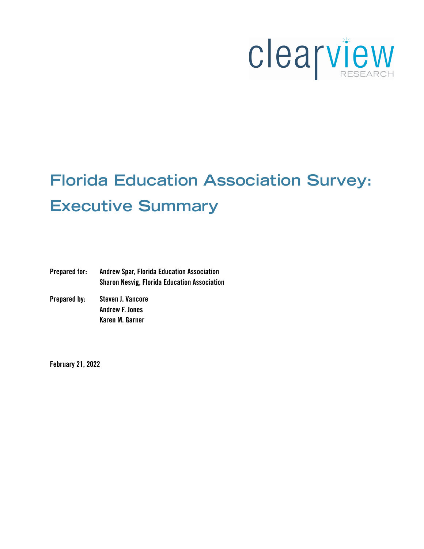

# **Florida Education Association Survey: Executive Summary**

Prepared for: Andrew Spar, Florida Education Association Sharon Nesvig, Florida Education Association

Prepared by: Steven J. Vancore Andrew F. Jones Karen M. Garner

February 21, 2022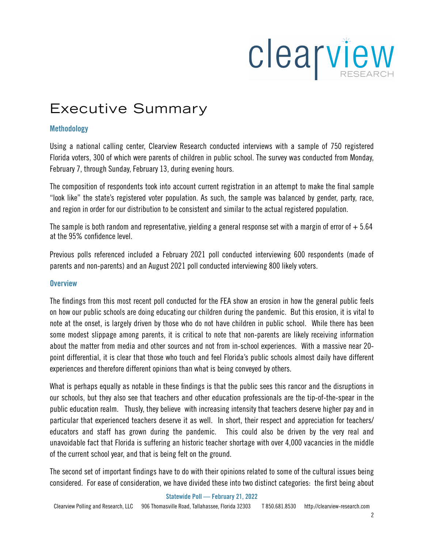

# Executive Summary

# Methodology

Using a national calling center, Clearview Research conducted interviews with a sample of 750 registered Florida voters, 300 of which were parents of children in public school. The survey was conducted from Monday, February 7, through Sunday, February 13, during evening hours.

The composition of respondents took into account current registration in an attempt to make the final sample "look like" the state's registered voter population. As such, the sample was balanced by gender, party, race, and region in order for our distribution to be consistent and similar to the actual registered population.

The sample is both random and representative, yielding a general response set with a margin of error of  $+5.64$ at the 95% confidence level.

Previous polls referenced included a February 2021 poll conducted interviewing 600 respondents (made of parents and non-parents) and an August 2021 poll conducted interviewing 800 likely voters.

# **Overview**

The findings from this most recent poll conducted for the FEA show an erosion in how the general public feels on how our public schools are doing educating our children during the pandemic. But this erosion, it is vital to note at the onset, is largely driven by those who do not have children in public school. While there has been some modest slippage among parents, it is critical to note that non-parents are likely receiving information about the matter from media and other sources and not from in-school experiences. With a massive near 20 point differential, it is clear that those who touch and feel Florida's public schools almost daily have different experiences and therefore different opinions than what is being conveyed by others.

What is perhaps equally as notable in these findings is that the public sees this rancor and the disruptions in our schools, but they also see that teachers and other education professionals are the tip-of-the-spear in the public education realm. Thusly, they believe with increasing intensity that teachers deserve higher pay and in particular that experienced teachers deserve it as well. In short, their respect and appreciation for teachers/ educators and staff has grown during the pandemic. This could also be driven by the very real and unavoidable fact that Florida is suffering an historic teacher shortage with over 4,000 vacancies in the middle of the current school year, and that is being felt on the ground.

The second set of important findings have to do with their opinions related to some of the cultural issues being considered. For ease of consideration, we have divided these into two distinct categories: the first being about

Statewide Poll — February 21, 2022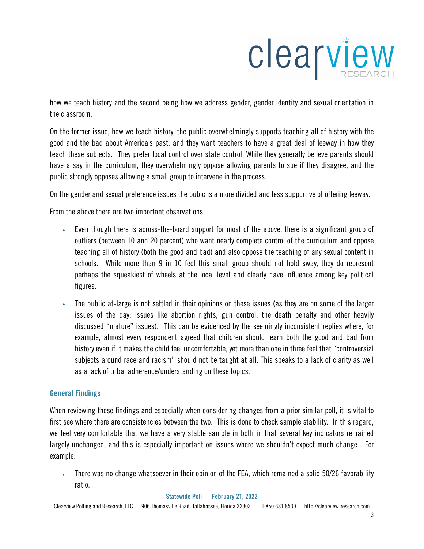

how we teach history and the second being how we address gender, gender identity and sexual orientation in the classroom.

On the former issue, how we teach history, the public overwhelmingly supports teaching all of history with the good and the bad about America's past, and they want teachers to have a great deal of leeway in how they teach these subjects. They prefer local control over state control. While they generally believe parents should have a say in the curriculum, they overwhelmingly oppose allowing parents to sue if they disagree, and the public strongly opposes allowing a small group to intervene in the process.

On the gender and sexual preference issues the pubic is a more divided and less supportive of offering leeway.

From the above there are two important observations:

- ‣ Even though there is across-the-board support for most of the above, there is a significant group of outliers (between 10 and 20 percent) who want nearly complete control of the curriculum and oppose teaching all of history (both the good and bad) and also oppose the teaching of any sexual content in schools. While more than 9 in 10 feel this small group should not hold sway, they do represent perhaps the squeakiest of wheels at the local level and clearly have influence among key political figures.
- $\overline{\phantom{a}}$  The public at-large is not settled in their opinions on these issues (as they are on some of the larger issues of the day; issues like abortion rights, gun control, the death penalty and other heavily discussed "mature" issues). This can be evidenced by the seemingly inconsistent replies where, for example, almost every respondent agreed that children should learn both the good and bad from history even if it makes the child feel uncomfortable, yet more than one in three feel that "controversial subjects around race and racism" should not be taught at all. This speaks to a lack of clarity as well as a lack of tribal adherence/understanding on these topics.

# General Findings

When reviewing these findings and especially when considering changes from a prior similar poll, it is vital to first see where there are consistencies between the two. This is done to check sample stability. In this regard, we feel very comfortable that we have a very stable sample in both in that several key indicators remained largely unchanged, and this is especially important on issues where we shouldn't expect much change. For example:

‣ There was no change whatsoever in their opinion of the FEA, which remained a solid 50/26 favorability ratio.

#### Statewide Poll — February 21, 2022

Clearview Polling and Research, LLC 906 Thomasville Road, Tallahassee, Florida 32303 T 850.681.8530 http://clearview-research.com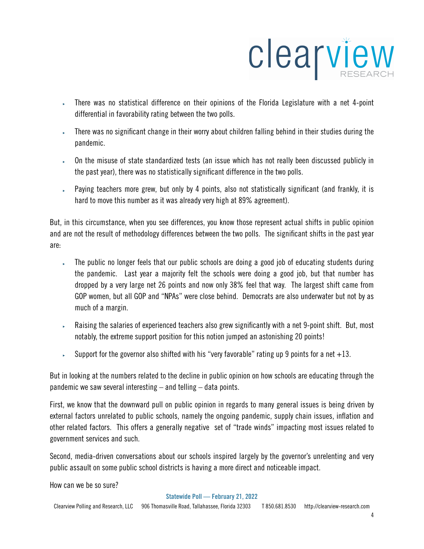

- ‣ There was no statistical difference on their opinions of the Florida Legislature with a net 4-point differential in favorability rating between the two polls.
- ‣ There was no significant change in their worry about children falling behind in their studies during the pandemic.
- $\sim$  0n the misuse of state standardized tests (an issue which has not really been discussed publicly in the past year), there was no statistically significant difference in the two polls.
- ‣ Paying teachers more grew, but only by 4 points, also not statistically significant (and frankly, it is hard to move this number as it was already very high at 89% agreement).

But, in this circumstance, when you see differences, you know those represent actual shifts in public opinion and are not the result of methodology differences between the two polls. The significant shifts in the past year are:

- ‣ The public no longer feels that our public schools are doing a good job of educating students during the pandemic. Last year a majority felt the schools were doing a good job, but that number has dropped by a very large net 26 points and now only 38% feel that way. The largest shift came from GOP women, but all GOP and "NPAs" were close behind. Democrats are also underwater but not by as much of a margin.
- Raising the salaries of experienced teachers also grew significantly with a net 9-point shift. But, most notably, the extreme support position for this notion jumped an astonishing 20 points!
- ‣ Support for the governor also shifted with his "very favorable" rating up 9 points for a net  $+13$ .

But in looking at the numbers related to the decline in public opinion on how schools are educating through the pandemic we saw several interesting  $-$  and telling  $-$  data points.

First, we know that the downward pull on public opinion in regards to many general issues is being driven by external factors unrelated to public schools, namely the ongoing pandemic, supply chain issues, inflation and other related factors. This offers a generally negative set of "trade winds" impacting most issues related to government services and such.

Second, media-driven conversations about our schools inspired largely by the governor's unrelenting and very public assault on some public school districts is having a more direct and noticeable impact.

How can we be so sure?

Statewide Poll — February 21, 2022

Clearview Polling and Research, LLC 906 Thomasville Road, Tallahassee, Florida 32303 T 850.681.8530 http://clearview-research.com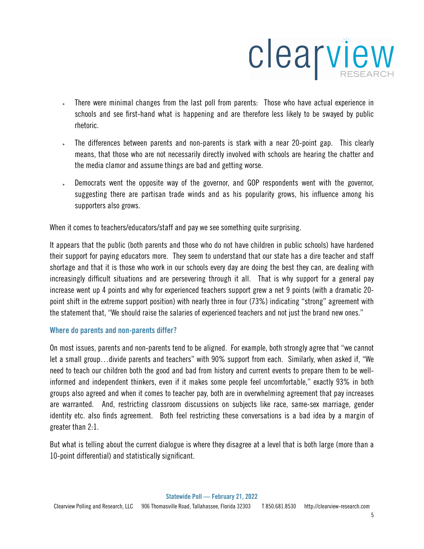

- ‣ There were minimal changes from the last poll from parents: Those who have actual experience in schools and see first-hand what is happening and are therefore less likely to be swayed by public rhetoric.
- ‣ The differences between parents and non-parents is stark with a near 20-point gap. This clearly means, that those who are not necessarily directly involved with schools are hearing the chatter and the media clamor and assume things are bad and getting worse.
- Democrats went the opposite way of the governor, and GOP respondents went with the governor, suggesting there are partisan trade winds and as his popularity grows, his influence among his supporters also grows.

When it comes to teachers/educators/staff and pay we see something quite surprising.

It appears that the public (both parents and those who do not have children in public schools) have hardened their support for paying educators more. They seem to understand that our state has a dire teacher and staff shortage and that it is those who work in our schools every day are doing the best they can, are dealing with increasingly difficult situations and are persevering through it all. That is why support for a general pay increase went up 4 points and why for experienced teachers support grew a net 9 points (with a dramatic 20 point shift in the extreme support position) with nearly three in four (73%) indicating "strong" agreement with the statement that, "We should raise the salaries of experienced teachers and not just the brand new ones."

# Where do parents and non-parents differ?

On most issues, parents and non-parents tend to be aligned. For example, both strongly agree that "we cannot let a small group…divide parents and teachers" with 90% support from each. Similarly, when asked if, "We need to teach our children both the good and bad from history and current events to prepare them to be wellinformed and independent thinkers, even if it makes some people feel uncomfortable," exactly 93% in both groups also agreed and when it comes to teacher pay, both are in overwhelming agreement that pay increases are warranted. And, restricting classroom discussions on subjects like race, same-sex marriage, gender identity etc. also finds agreement. Both feel restricting these conversations is a bad idea by a margin of greater than 2:1.

But what is telling about the current dialogue is where they disagree at a level that is both large (more than a 10-point differential) and statistically significant.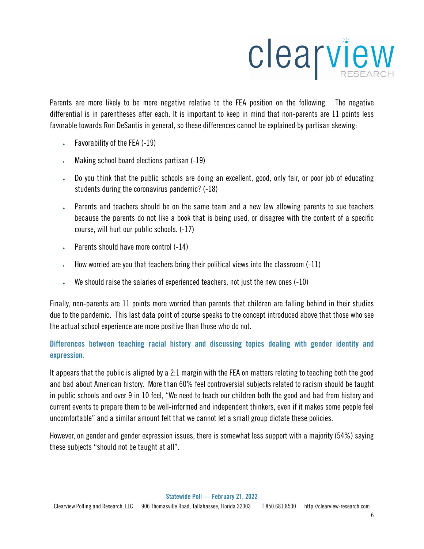

Parents are more likely to be more negative relative to the FEA position on the following. The negative differential is in parentheses after each. It is important to keep in mind that non-parents are 11 points less favorable towards Ron DeSantis in general, so these differences cannot be explained by partisan skewing:

- ‣ Favorability of the FEA (-19)
- Making school board elections partisan (-19)
- $\overline{\phantom{a}}$  Do you think that the public schools are doing an excellent, good, only fair, or poor job of educating students during the coronavirus pandemic? (-18)
- **Parents and teachers should be on the same team and a new law allowing parents to sue teachers** because the parents do not like a book that is being used, or disagree with the content of a specific course, will hurt our public schools. (-17)
- ‣ Parents should have more control (-14)
- $\blacktriangleright$  How worried are you that teachers bring their political views into the classroom (-11)
- $\sim$  We should raise the salaries of experienced teachers, not just the new ones (-10)

Finally, non-parents are 11 points more worried than parents that children are falling behind in their studies due to the pandemic. This last data point of course speaks to the concept introduced above that those who see the actual school experience are more positive than those who do not.

# Differences between teaching racial history and discussing topics dealing with gender identity and expression.

It appears that the public is aligned by a 2:1 margin with the FEA on matters relating to teaching both the good and bad about American history. More than 60% feel controversial subjects related to racism should be taught in public schools and over 9 in 10 feel, "We need to teach our children both the good and bad from history and current events to prepare them to be well-informed and independent thinkers, even if it makes some people feel uncomfortable" and a similar amount felt that we cannot let a small group dictate these policies.

However, on gender and gender expression issues, there is somewhat less support with a majority (54%) saying these subjects "should not be taught at all".